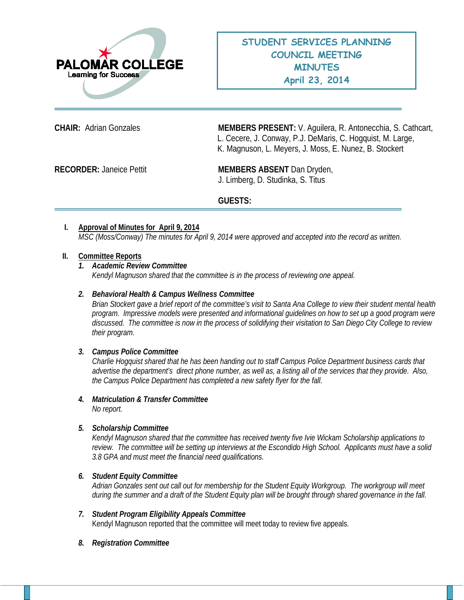

**CHAIR:** Adrian Gonzales **MEMBERS PRESENT:** V. Aguilera, R. Antonecchia, S. Cathcart, L. Cecere, J. Conway, P.J. DeMaris, C. Hogquist, M. Large, K. Magnuson, L. Meyers, J. Moss, E. Nunez, B. Stockert

**RECORDER:** Janeice Pettit **MEMBERS ABSENT** Dan Dryden, J. Limberg, D. Studinka, S. Titus

# **GUESTS:**

# **I. Approval of Minutes for April 9, 2014** *MSC (Moss/Conway) The minutes for April 9, 2014 were approved and accepted into the record as written.*

### **II. Committee Reports**

#### *1. Academic Review Committee*

*Kendyl Magnuson shared that the committee is in the process of reviewing one appeal.*

### *2. Behavioral Health & Campus Wellness Committee*

*Brian Stockert gave a brief report of the committee's visit to Santa Ana College to view their student mental health program. Impressive models were presented and informational guidelines on how to set up a good program were discussed. The committee is now in the process of solidifying their visitation to San Diego City College to review their program.*

#### *3. Campus Police Committee*

*Charlie Hogquist shared that he has been handing out to staff Campus Police Department business cards that advertise the department's direct phone number, as well as, a listing all of the services that they provide. Also, the Campus Police Department has completed a new safety flyer for the fall.*

*4. Matriculation & Transfer Committee No report.*

# *5. Scholarship Committee*

*Kendyl Magnuson shared that the committee has received twenty five Ivie Wickam Scholarship applications to review. The committee will be setting up interviews at the Escondido High School. Applicants must have a solid 3.8 GPA and must meet the financial need qualifications.* 

#### *6. Student Equity Committee*

*Adrian Gonzales sent out call out for membership for the Student Equity Workgroup. The workgroup will meet during the summer and a draft of the Student Equity plan will be brought through shared governance in the fall.*

- *7. Student Program Eligibility Appeals Committee* Kendyl Magnuson reported that the committee will meet today to review five appeals.
- *8. Registration Committee*